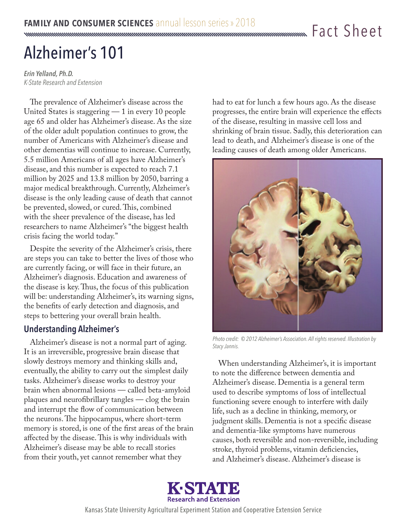# Alzheimer's 101

*Erin Yelland, Ph.D. K-State Research and Extension*

The prevalence of Alzheimer's disease across the United States is staggering — 1 in every 10 people age 65 and older has Alzheimer's disease. As the size of the older adult population continues to grow, the number of Americans with Alzheimer's disease and other dementias will continue to increase. Currently, 5.5 million Americans of all ages have Alzheimer's disease, and this number is expected to reach 7.1 million by 2025 and 13.8 million by 2050, barring a major medical breakthrough. Currently, Alzheimer's disease is the only leading cause of death that cannot be prevented, slowed, or cured. This, combined with the sheer prevalence of the disease, has led researchers to name Alzheimer's "the biggest health crisis facing the world today."

Despite the severity of the Alzheimer's crisis, there are steps you can take to better the lives of those who are currently facing, or will face in their future, an Alzheimer's diagnosis. Education and awareness of the disease is key. Thus, the focus of this publication will be: understanding Alzheimer's, its warning signs, the benefits of early detection and diagnosis, and steps to bettering your overall brain health.

# **Understanding Alzheimer's**

Alzheimer's disease is not a normal part of aging. It is an irreversible, progressive brain disease that slowly destroys memory and thinking skills and, eventually, the ability to carry out the simplest daily tasks. Alzheimer's disease works to destroy your brain when abnormal lesions — called beta-amyloid plaques and neurofibrillary tangles — clog the brain and interrupt the flow of communication between the neurons. The hippocampus, where short-term memory is stored, is one of the first areas of the brain affected by the disease. This is why individuals with Alzheimer's disease may be able to recall stories from their youth, yet cannot remember what they

had to eat for lunch a few hours ago. As the disease progresses, the entire brain will experience the effects of the disease, resulting in massive cell loss and shrinking of brain tissue. Sadly, this deterioration can lead to death, and Alzheimer's disease is one of the leading causes of death among older Americans.



*Photo credit: © 2012 Alzheimer's Association. All rights reserved. Illustration by Stacy Jannis.*

When understanding Alzheimer's, it is important to note the difference between dementia and Alzheimer's disease. Dementia is a general term used to describe symptoms of loss of intellectual functioning severe enough to interfere with daily life, such as a decline in thinking, memory, or judgment skills. Dementia is not a specific disease and dementia-like symptoms have numerous causes, both reversible and non-reversible, including stroke, thyroid problems, vitamin deficiencies, and Alzheimer's disease. Alzheimer's disease is



Kansas State University Agricultural Experiment Station and Cooperative Extension Service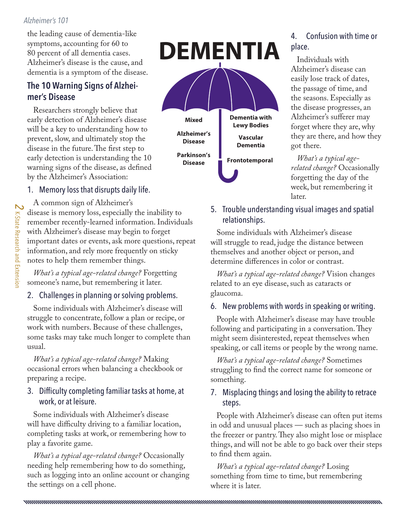#### *Alzheimer's 101*

the leading cause of dementia-like symptoms, accounting for 60 to 80 percent of all dementia cases. Alzheimer's disease is the cause, and dementia is a symptom of the disease.

# **The 10 Warning Signs of Alzheimer's Disease**

Researchers strongly believe that early detection of Alzheimer's disease will be a key to understanding how to prevent, slow, and ultimately stop the disease in the future. The first step to early detection is understanding the 10 warning signs of the disease, as defined by the Alzheimer's Association:

# 1. Memory loss that disrupts daily life.

A common sign of Alzheimer's disease is memory loss, especially the inability to remember recently-learned information. Individuals with Alzheimer's disease may begin to forget important dates or events, ask more questions, repeat information, and rely more frequently on sticky notes to help them remember things.

*What's a typical age-related change?* Forgetting someone's name, but remembering it later.

# 2. Challenges in planning or solving problems.

Some individuals with Alzheimer's disease will struggle to concentrate, follow a plan or recipe, or work with numbers. Because of these challenges, some tasks may take much longer to complete than usual.

*What's a typical age-related change?* Making occasional errors when balancing a checkbook or preparing a recipe.

### 3. Difficulty completing familiar tasks at home, at work, or at leisure.

Some individuals with Alzheimer's disease will have difficulty driving to a familiar location, completing tasks at work, or remembering how to play a favorite game.

*What's a typical age-related change?* Occasionally needing help remembering how to do something, such as logging into an online account or changing the settings on a cell phone.



# 4. Confusion with time or place.

Individuals with Alzheimer's disease can easily lose track of dates, the passage of time, and the seasons. Especially as the disease progresses, an Alzheimer's sufferer may forget where they are, why they are there, and how they got there.

*What's a typical agerelated change?* Occasionally forgetting the day of the week, but remembering it later.

### 5. Trouble understanding visual images and spatial relationships.

Some individuals with Alzheimer's disease will struggle to read, judge the distance between themselves and another object or person, and determine differences in color or contrast.

*What's a typical age-related change?* Vision changes related to an eye disease, such as cataracts or glaucoma.

### 6. New problems with words in speaking or writing.

People with Alzheimer's disease may have trouble following and participating in a conversation. They might seem disinterested, repeat themselves when speaking, or call items or people by the wrong name.

*What's a typical age-related change?* Sometimes struggling to find the correct name for someone or something.

#### 7. Misplacing things and losing the ability to retrace steps.

People with Alzheimer's disease can often put items in odd and unusual places — such as placing shoes in the freezer or pantry. They also might lose or misplace things, and will not be able to go back over their steps to find them again.

*What's a typical age-related change?* Losing something from time to time, but remembering where it is later.

nominimumpung mengantukan dan kemukan berakaman pada tahun 1999 dan kemukan dan menjadi kemukan dan pengantana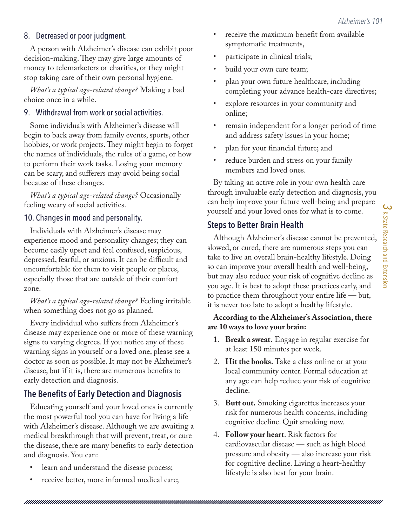### 8. Decreased or poor judgment.

A person with Alzheimer's disease can exhibit poor decision-making. They may give large amounts of money to telemarketers or charities, or they might stop taking care of their own personal hygiene.

*What's a typical age-related change?* Making a bad choice once in a while.

#### 9. Withdrawal from work or social activities.

Some individuals with Alzheimer's disease will begin to back away from family events, sports, other hobbies, or work projects. They might begin to forget the names of individuals, the rules of a game, or how to perform their work tasks. Losing your memory can be scary, and sufferers may avoid being social because of these changes.

*What's a typical age-related change?* Occasionally feeling weary of social activities.

#### 10. Changes in mood and personality.

Individuals with Alzheimer's disease may experience mood and personality changes; they can become easily upset and feel confused, suspicious, depressed, fearful, or anxious. It can be difficult and uncomfortable for them to visit people or places, especially those that are outside of their comfort zone.

*What's a typical age-related change?* Feeling irritable when something does not go as planned.

Every individual who suffers from Alzheimer's disease may experience one or more of these warning signs to varying degrees. If you notice any of these warning signs in yourself or a loved one, please see a doctor as soon as possible. It may not be Alzheimer's disease, but if it is, there are numerous benefits to early detection and diagnosis.

# **The Benefits of Early Detection and Diagnosis**

Educating yourself and your loved ones is currently the most powerful tool you can have for living a life with Alzheimer's disease. Although we are awaiting a medical breakthrough that will prevent, treat, or cure the disease, there are many benefits to early detection and diagnosis. You can:

- learn and understand the disease process;
- receive better, more informed medical care;
- receive the maximum benefit from available symptomatic treatments,
- participate in clinical trials;
- build your own care team;
- plan your own future healthcare, including completing your advance health-care directives;
- explore resources in your community and online;
- remain independent for a longer period of time and address safety issues in your home;
- plan for your financial future; and
- reduce burden and stress on your family members and loved ones.

By taking an active role in your own health care through invaluable early detection and diagnosis, you can help improve your future well-being and prepare yourself and your loved ones for what is to come.

# **Steps to Better Brain Health**

Although Alzheimer's disease cannot be prevented, slowed, or cured, there are numerous steps you can take to live an overall brain-healthy lifestyle. Doing so can improve your overall health and well-being, but may also reduce your risk of cognitive decline as you age. It is best to adopt these practices early, and to practice them throughout your entire life — but, it is never too late to adopt a healthy lifestyle.

#### **According to the Alzheimer's Association, there are 10 ways to love your brain:**

- 1. **Break a sweat.** Engage in regular exercise for at least 150 minutes per week.
- 2. **Hit the books.** Take a class online or at your local community center. Formal education at any age can help reduce your risk of cognitive decline.
- 3. **Butt out.** Smoking cigarettes increases your risk for numerous health concerns, including cognitive decline. Quit smoking now.
- 4. **Follow your heart**. Risk factors for cardiovascular disease — such as high blood pressure and obesity — also increase your risk for cognitive decline. Living a heart-healthy lifestyle is also best for your brain.

*3*